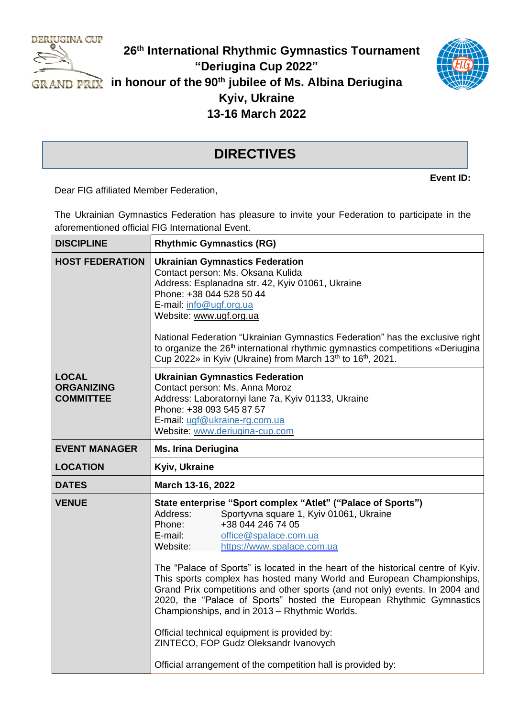

## **26 th International Rhythmic Gymnastics Tournament "Deriugina Cup 2022" in honour of the 90th jubilee of Ms. Albina Deriugina Kyiv, Ukraine 13-16 March 2022**



## **DIRECTIVES**

**Event ID:**

Dear FIG affiliated Member Federation,

The Ukrainian Gymnastics Federation has pleasure to invite your Federation to participate in the aforementioned official FIG International Event.

| <b>DISCIPLINE</b>                                     | <b>Rhythmic Gymnastics (RG)</b>                                                                                                                                                                                                                                                                                                                                                                                                                                                                                                                                                                                                                                                                                                                                |  |
|-------------------------------------------------------|----------------------------------------------------------------------------------------------------------------------------------------------------------------------------------------------------------------------------------------------------------------------------------------------------------------------------------------------------------------------------------------------------------------------------------------------------------------------------------------------------------------------------------------------------------------------------------------------------------------------------------------------------------------------------------------------------------------------------------------------------------------|--|
| <b>HOST FEDERATION</b>                                | <b>Ukrainian Gymnastics Federation</b><br>Contact person: Ms. Oksana Kulida<br>Address: Esplanadna str. 42, Kyiv 01061, Ukraine<br>Phone: +38 044 528 50 44<br>E-mail: info@ugf.org.ua<br>Website: www.ugf.org.ua<br>National Federation "Ukrainian Gymnastics Federation" has the exclusive right<br>to organize the 26 <sup>th</sup> international rhythmic gymnastics competitions «Deriugina<br>Cup 2022» in Kyiv (Ukraine) from March 13 <sup>th</sup> to 16 <sup>th</sup> , 2021.                                                                                                                                                                                                                                                                        |  |
| <b>LOCAL</b><br><b>ORGANIZING</b><br><b>COMMITTEE</b> | <b>Ukrainian Gymnastics Federation</b><br>Contact person: Ms. Anna Moroz<br>Address: Laboratornyi lane 7a, Kyiv 01133, Ukraine<br>Phone: +38 093 545 87 57<br>E-mail: ugf@ukraine-rg.com.ua<br>Website: www.deriugina-cup.com                                                                                                                                                                                                                                                                                                                                                                                                                                                                                                                                  |  |
| <b>EVENT MANAGER</b>                                  | <b>Ms. Irina Deriugina</b>                                                                                                                                                                                                                                                                                                                                                                                                                                                                                                                                                                                                                                                                                                                                     |  |
| <b>LOCATION</b>                                       | Kyiv, Ukraine                                                                                                                                                                                                                                                                                                                                                                                                                                                                                                                                                                                                                                                                                                                                                  |  |
| <b>DATES</b>                                          | March 13-16, 2022                                                                                                                                                                                                                                                                                                                                                                                                                                                                                                                                                                                                                                                                                                                                              |  |
| <b>VENUE</b>                                          | State enterprise "Sport complex "Atlet" ("Palace of Sports")<br>Sportyvna square 1, Kyiv 01061, Ukraine<br>Address:<br>+38 044 246 74 05<br>Phone:<br>office@spalace.com.ua<br>E-mail:<br>Website:<br>https://www.spalace.com.ua<br>The "Palace of Sports" is located in the heart of the historical centre of Kyiv.<br>This sports complex has hosted many World and European Championships,<br>Grand Prix competitions and other sports (and not only) events. In 2004 and<br>2020, the "Palace of Sports" hosted the European Rhythmic Gymnastics<br>Championships, and in 2013 - Rhythmic Worlds.<br>Official technical equipment is provided by:<br>ZINTECO, FOP Gudz Oleksandr Ivanovych<br>Official arrangement of the competition hall is provided by: |  |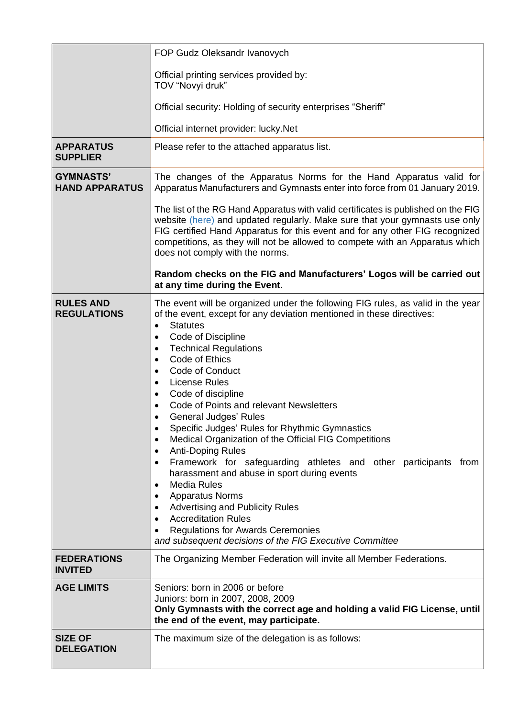|                                           | FOP Gudz Oleksandr Ivanovych                                                                                                                                                                                                                                                                                                                                                                                                                                                                                                                                                                                                                                                                                                                                                                                                                                                                                                                                                                                                        |  |
|-------------------------------------------|-------------------------------------------------------------------------------------------------------------------------------------------------------------------------------------------------------------------------------------------------------------------------------------------------------------------------------------------------------------------------------------------------------------------------------------------------------------------------------------------------------------------------------------------------------------------------------------------------------------------------------------------------------------------------------------------------------------------------------------------------------------------------------------------------------------------------------------------------------------------------------------------------------------------------------------------------------------------------------------------------------------------------------------|--|
|                                           | Official printing services provided by:<br>TOV "Novyi druk"                                                                                                                                                                                                                                                                                                                                                                                                                                                                                                                                                                                                                                                                                                                                                                                                                                                                                                                                                                         |  |
|                                           | Official security: Holding of security enterprises "Sheriff"                                                                                                                                                                                                                                                                                                                                                                                                                                                                                                                                                                                                                                                                                                                                                                                                                                                                                                                                                                        |  |
|                                           | Official internet provider: lucky.Net                                                                                                                                                                                                                                                                                                                                                                                                                                                                                                                                                                                                                                                                                                                                                                                                                                                                                                                                                                                               |  |
| <b>APPARATUS</b><br><b>SUPPLIER</b>       | Please refer to the attached apparatus list.                                                                                                                                                                                                                                                                                                                                                                                                                                                                                                                                                                                                                                                                                                                                                                                                                                                                                                                                                                                        |  |
| <b>GYMNASTS'</b><br><b>HAND APPARATUS</b> | The changes of the Apparatus Norms for the Hand Apparatus valid for<br>Apparatus Manufacturers and Gymnasts enter into force from 01 January 2019.                                                                                                                                                                                                                                                                                                                                                                                                                                                                                                                                                                                                                                                                                                                                                                                                                                                                                  |  |
|                                           | The list of the RG Hand Apparatus with valid certificates is published on the FIG<br>website (here) and updated regularly. Make sure that your gymnasts use only<br>FIG certified Hand Apparatus for this event and for any other FIG recognized<br>competitions, as they will not be allowed to compete with an Apparatus which<br>does not comply with the norms.                                                                                                                                                                                                                                                                                                                                                                                                                                                                                                                                                                                                                                                                 |  |
|                                           | Random checks on the FIG and Manufacturers' Logos will be carried out<br>at any time during the Event.                                                                                                                                                                                                                                                                                                                                                                                                                                                                                                                                                                                                                                                                                                                                                                                                                                                                                                                              |  |
| <b>RULES AND</b><br><b>REGULATIONS</b>    | The event will be organized under the following FIG rules, as valid in the year<br>of the event, except for any deviation mentioned in these directives:<br><b>Statutes</b><br>Code of Discipline<br>$\bullet$<br><b>Technical Regulations</b><br>$\bullet$<br>Code of Ethics<br>$\bullet$<br>Code of Conduct<br>$\bullet$<br><b>License Rules</b><br>$\bullet$<br>Code of discipline<br>$\bullet$<br>Code of Points and relevant Newsletters<br><b>General Judges' Rules</b><br>Specific Judges' Rules for Rhythmic Gymnastics<br>Medical Organization of the Official FIG Competitions<br>$\bullet$<br><b>Anti-Doping Rules</b><br>٠<br>Framework for safeguarding athletes and other participants from<br>٠<br>harassment and abuse in sport during events<br><b>Media Rules</b><br>$\bullet$<br><b>Apparatus Norms</b><br>$\bullet$<br><b>Advertising and Publicity Rules</b><br>$\bullet$<br><b>Accreditation Rules</b><br><b>Regulations for Awards Ceremonies</b><br>and subsequent decisions of the FIG Executive Committee |  |
| <b>FEDERATIONS</b><br><b>INVITED</b>      | The Organizing Member Federation will invite all Member Federations.                                                                                                                                                                                                                                                                                                                                                                                                                                                                                                                                                                                                                                                                                                                                                                                                                                                                                                                                                                |  |
| <b>AGE LIMITS</b>                         | Seniors: born in 2006 or before<br>Juniors: born in 2007, 2008, 2009<br>Only Gymnasts with the correct age and holding a valid FIG License, until<br>the end of the event, may participate.                                                                                                                                                                                                                                                                                                                                                                                                                                                                                                                                                                                                                                                                                                                                                                                                                                         |  |
| <b>SIZE OF</b><br><b>DELEGATION</b>       | The maximum size of the delegation is as follows:                                                                                                                                                                                                                                                                                                                                                                                                                                                                                                                                                                                                                                                                                                                                                                                                                                                                                                                                                                                   |  |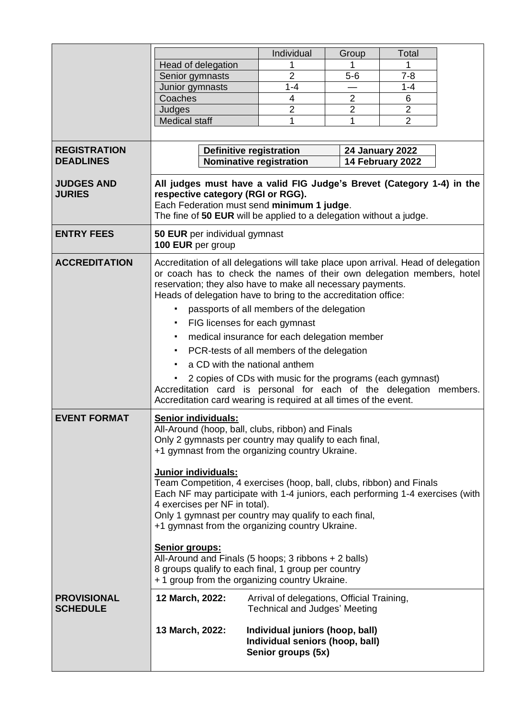|                                         |                                                                                                                                                                                                                                                                                                    | Individual                                                                               | Group                   | Total            |  |
|-----------------------------------------|----------------------------------------------------------------------------------------------------------------------------------------------------------------------------------------------------------------------------------------------------------------------------------------------------|------------------------------------------------------------------------------------------|-------------------------|------------------|--|
|                                         | Head of delegation                                                                                                                                                                                                                                                                                 | 1                                                                                        |                         | 1                |  |
|                                         | Senior gymnasts                                                                                                                                                                                                                                                                                    | $\overline{2}$                                                                           | $5-6$                   | $7 - 8$          |  |
|                                         | Junior gymnasts                                                                                                                                                                                                                                                                                    | $1 - 4$                                                                                  |                         | $1 - 4$          |  |
|                                         | Coaches                                                                                                                                                                                                                                                                                            | 4                                                                                        | $\overline{2}$          | 6                |  |
|                                         | Judges                                                                                                                                                                                                                                                                                             | $\overline{2}$                                                                           | $\overline{\mathbf{c}}$ | $\overline{2}$   |  |
|                                         | <b>Medical staff</b>                                                                                                                                                                                                                                                                               | 1                                                                                        | 1                       | $\overline{2}$   |  |
|                                         |                                                                                                                                                                                                                                                                                                    |                                                                                          |                         |                  |  |
|                                         |                                                                                                                                                                                                                                                                                                    |                                                                                          |                         |                  |  |
| <b>REGISTRATION</b><br><b>DEADLINES</b> | <b>Definitive registration</b><br><b>24 January 2022</b>                                                                                                                                                                                                                                           |                                                                                          |                         |                  |  |
|                                         |                                                                                                                                                                                                                                                                                                    | <b>Nominative registration</b>                                                           |                         | 14 February 2022 |  |
| <b>JUDGES AND</b><br><b>JURIES</b>      | All judges must have a valid FIG Judge's Brevet (Category 1-4) in the<br>respective category (RGI or RGG).<br>Each Federation must send minimum 1 judge.<br>The fine of 50 EUR will be applied to a delegation without a judge.                                                                    |                                                                                          |                         |                  |  |
| <b>ENTRY FEES</b>                       | 50 EUR per individual gymnast<br>100 EUR per group                                                                                                                                                                                                                                                 |                                                                                          |                         |                  |  |
| <b>ACCREDITATION</b>                    | Accreditation of all delegations will take place upon arrival. Head of delegation<br>or coach has to check the names of their own delegation members, hotel<br>reservation; they also have to make all necessary payments.<br>Heads of delegation have to bring to the accreditation office:       |                                                                                          |                         |                  |  |
|                                         | passports of all members of the delegation<br>$\blacksquare$                                                                                                                                                                                                                                       |                                                                                          |                         |                  |  |
|                                         | $\blacksquare$                                                                                                                                                                                                                                                                                     | FIG licenses for each gymnast                                                            |                         |                  |  |
|                                         | ٠                                                                                                                                                                                                                                                                                                  | medical insurance for each delegation member                                             |                         |                  |  |
|                                         | $\blacksquare$                                                                                                                                                                                                                                                                                     | PCR-tests of all members of the delegation                                               |                         |                  |  |
|                                         |                                                                                                                                                                                                                                                                                                    |                                                                                          |                         |                  |  |
|                                         | a CD with the national anthem                                                                                                                                                                                                                                                                      |                                                                                          |                         |                  |  |
|                                         | 2 copies of CDs with music for the programs (each gymnast)                                                                                                                                                                                                                                         |                                                                                          |                         |                  |  |
|                                         | Accreditation card is personal for each of the delegation members.<br>Accreditation card wearing is required at all times of the event.                                                                                                                                                            |                                                                                          |                         |                  |  |
|                                         |                                                                                                                                                                                                                                                                                                    |                                                                                          |                         |                  |  |
| <b>EVENT FORMAT</b>                     | <b>Senior individuals:</b><br>All-Around (hoop, ball, clubs, ribbon) and Finals<br>Only 2 gymnasts per country may qualify to each final,<br>+1 gymnast from the organizing country Ukraine.                                                                                                       |                                                                                          |                         |                  |  |
|                                         | <b>Junior individuals:</b>                                                                                                                                                                                                                                                                         |                                                                                          |                         |                  |  |
|                                         | Team Competition, 4 exercises (hoop, ball, clubs, ribbon) and Finals<br>Each NF may participate with 1-4 juniors, each performing 1-4 exercises (with<br>4 exercises per NF in total).<br>Only 1 gymnast per country may qualify to each final,<br>+1 gymnast from the organizing country Ukraine. |                                                                                          |                         |                  |  |
|                                         | Senior groups:<br>All-Around and Finals (5 hoops; 3 ribbons + 2 balls)<br>8 groups qualify to each final, 1 group per country                                                                                                                                                                      |                                                                                          |                         |                  |  |
|                                         | + 1 group from the organizing country Ukraine.                                                                                                                                                                                                                                                     |                                                                                          |                         |                  |  |
| <b>PROVISIONAL</b><br><b>SCHEDULE</b>   | 12 March, 2022:                                                                                                                                                                                                                                                                                    | Arrival of delegations, Official Training,<br><b>Technical and Judges' Meeting</b>       |                         |                  |  |
|                                         | 13 March, 2022:                                                                                                                                                                                                                                                                                    | Individual juniors (hoop, ball)<br>Individual seniors (hoop, ball)<br>Senior groups (5x) |                         |                  |  |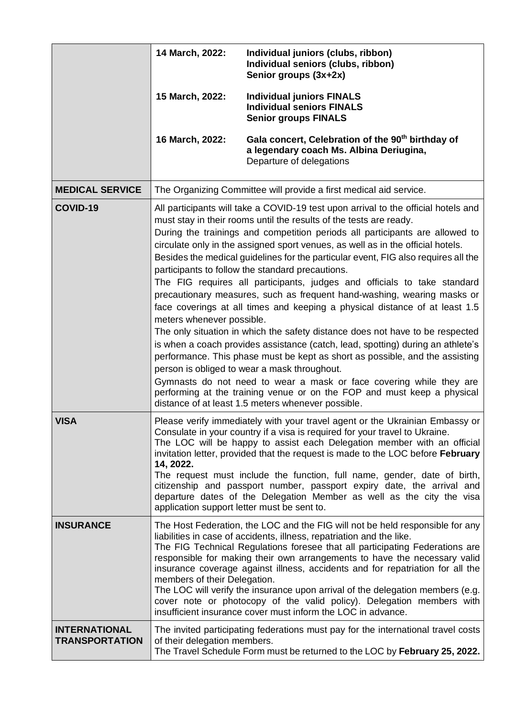|                                               | 14 March, 2022:                                                                                                                                                                                                                                                                                                                                                                                                                                                                                                                                                                                                                                                                                                                                                                                                                                                                                                                                                                                                                                                                                                                                                                                                                                      | Individual juniors (clubs, ribbon)<br>Individual seniors (clubs, ribbon)<br>Senior groups (3x+2x)                                                               |  |
|-----------------------------------------------|------------------------------------------------------------------------------------------------------------------------------------------------------------------------------------------------------------------------------------------------------------------------------------------------------------------------------------------------------------------------------------------------------------------------------------------------------------------------------------------------------------------------------------------------------------------------------------------------------------------------------------------------------------------------------------------------------------------------------------------------------------------------------------------------------------------------------------------------------------------------------------------------------------------------------------------------------------------------------------------------------------------------------------------------------------------------------------------------------------------------------------------------------------------------------------------------------------------------------------------------------|-----------------------------------------------------------------------------------------------------------------------------------------------------------------|--|
|                                               | 15 March, 2022:                                                                                                                                                                                                                                                                                                                                                                                                                                                                                                                                                                                                                                                                                                                                                                                                                                                                                                                                                                                                                                                                                                                                                                                                                                      | <b>Individual juniors FINALS</b><br><b>Individual seniors FINALS</b><br><b>Senior groups FINALS</b>                                                             |  |
|                                               | 16 March, 2022:                                                                                                                                                                                                                                                                                                                                                                                                                                                                                                                                                                                                                                                                                                                                                                                                                                                                                                                                                                                                                                                                                                                                                                                                                                      | Gala concert, Celebration of the 90 <sup>th</sup> birthday of<br>a legendary coach Ms. Albina Deriugina,<br>Departure of delegations                            |  |
| <b>MEDICAL SERVICE</b>                        | The Organizing Committee will provide a first medical aid service.                                                                                                                                                                                                                                                                                                                                                                                                                                                                                                                                                                                                                                                                                                                                                                                                                                                                                                                                                                                                                                                                                                                                                                                   |                                                                                                                                                                 |  |
| COVID-19                                      | All participants will take a COVID-19 test upon arrival to the official hotels and<br>must stay in their rooms until the results of the tests are ready.<br>During the trainings and competition periods all participants are allowed to<br>circulate only in the assigned sport venues, as well as in the official hotels.<br>Besides the medical guidelines for the particular event, FIG also requires all the<br>participants to follow the standard precautions.<br>The FIG requires all participants, judges and officials to take standard<br>precautionary measures, such as frequent hand-washing, wearing masks or<br>face coverings at all times and keeping a physical distance of at least 1.5<br>meters whenever possible.<br>The only situation in which the safety distance does not have to be respected<br>is when a coach provides assistance (catch, lead, spotting) during an athlete's<br>performance. This phase must be kept as short as possible, and the assisting<br>person is obliged to wear a mask throughout.<br>Gymnasts do not need to wear a mask or face covering while they are<br>performing at the training venue or on the FOP and must keep a physical<br>distance of at least 1.5 meters whenever possible. |                                                                                                                                                                 |  |
| <b>VISA</b>                                   | Please verify immediately with your travel agent or the Ukrainian Embassy or<br>Consulate in your country if a visa is required for your travel to Ukraine.<br>The LOC will be happy to assist each Delegation member with an official<br>invitation letter, provided that the request is made to the LOC before February<br>14, 2022.<br>The request must include the function, full name, gender, date of birth,<br>citizenship and passport number, passport expiry date, the arrival and<br>departure dates of the Delegation Member as well as the city the visa<br>application support letter must be sent to.                                                                                                                                                                                                                                                                                                                                                                                                                                                                                                                                                                                                                                 |                                                                                                                                                                 |  |
| <b>INSURANCE</b>                              | The Host Federation, the LOC and the FIG will not be held responsible for any<br>liabilities in case of accidents, illness, repatriation and the like.<br>The FIG Technical Regulations foresee that all participating Federations are<br>responsible for making their own arrangements to have the necessary valid<br>insurance coverage against illness, accidents and for repatriation for all the<br>members of their Delegation.<br>The LOC will verify the insurance upon arrival of the delegation members (e.g.<br>cover note or photocopy of the valid policy). Delegation members with<br>insufficient insurance cover must inform the LOC in advance.                                                                                                                                                                                                                                                                                                                                                                                                                                                                                                                                                                                     |                                                                                                                                                                 |  |
| <b>INTERNATIONAL</b><br><b>TRANSPORTATION</b> | of their delegation members.                                                                                                                                                                                                                                                                                                                                                                                                                                                                                                                                                                                                                                                                                                                                                                                                                                                                                                                                                                                                                                                                                                                                                                                                                         | The invited participating federations must pay for the international travel costs<br>The Travel Schedule Form must be returned to the LOC by February 25, 2022. |  |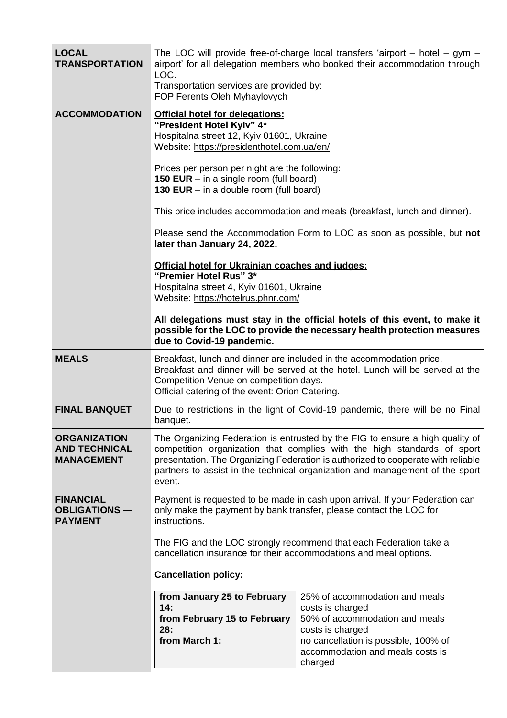| <b>LOCAL</b><br><b>TRANSPORTATION</b>                            | The LOC will provide free-of-charge local transfers 'airport $-$ hotel $-$ gym $-$<br>airport' for all delegation members who booked their accommodation through<br>LOC.<br>Transportation services are provided by:<br>FOP Ferents Oleh Myhaylovych                                                                                                                                                                                                                                                    |                                                                                     |  |
|------------------------------------------------------------------|---------------------------------------------------------------------------------------------------------------------------------------------------------------------------------------------------------------------------------------------------------------------------------------------------------------------------------------------------------------------------------------------------------------------------------------------------------------------------------------------------------|-------------------------------------------------------------------------------------|--|
| <b>ACCOMMODATION</b>                                             | <b>Official hotel for delegations:</b><br>"President Hotel Kyiv" 4*<br>Hospitalna street 12, Kyiv 01601, Ukraine<br>Website: https://presidenthotel.com.ua/en/<br>Prices per person per night are the following:<br><b>150 EUR</b> – in a single room (full board)<br>130 EUR $-$ in a double room (full board)<br>This price includes accommodation and meals (breakfast, lunch and dinner).<br>Please send the Accommodation Form to LOC as soon as possible, but not<br>later than January 24, 2022. |                                                                                     |  |
|                                                                  | Official hotel for Ukrainian coaches and judges:<br>"Premier Hotel Rus" 3*<br>Hospitalna street 4, Kyiv 01601, Ukraine<br>Website: https://hotelrus.phnr.com/<br>All delegations must stay in the official hotels of this event, to make it<br>possible for the LOC to provide the necessary health protection measures<br>due to Covid-19 pandemic.                                                                                                                                                    |                                                                                     |  |
| <b>MEALS</b>                                                     | Breakfast, lunch and dinner are included in the accommodation price.<br>Breakfast and dinner will be served at the hotel. Lunch will be served at the<br>Competition Venue on competition days.<br>Official catering of the event: Orion Catering.                                                                                                                                                                                                                                                      |                                                                                     |  |
| <b>FINAL BANQUET</b>                                             | Due to restrictions in the light of Covid-19 pandemic, there will be no Final<br>banquet.                                                                                                                                                                                                                                                                                                                                                                                                               |                                                                                     |  |
| <b>ORGANIZATION</b><br><b>AND TECHNICAL</b><br><b>MANAGEMENT</b> | The Organizing Federation is entrusted by the FIG to ensure a high quality of<br>competition organization that complies with the high standards of sport<br>presentation. The Organizing Federation is authorized to cooperate with reliable<br>partners to assist in the technical organization and management of the sport<br>event.                                                                                                                                                                  |                                                                                     |  |
| <b>FINANCIAL</b><br><b>OBLIGATIONS-</b><br><b>PAYMENT</b>        | Payment is requested to be made in cash upon arrival. If your Federation can<br>only make the payment by bank transfer, please contact the LOC for<br>instructions.<br>The FIG and the LOC strongly recommend that each Federation take a<br>cancellation insurance for their accommodations and meal options.                                                                                                                                                                                          |                                                                                     |  |
|                                                                  | <b>Cancellation policy:</b>                                                                                                                                                                                                                                                                                                                                                                                                                                                                             |                                                                                     |  |
|                                                                  | from January 25 to February<br>14:                                                                                                                                                                                                                                                                                                                                                                                                                                                                      | 25% of accommodation and meals<br>costs is charged                                  |  |
|                                                                  | from February 15 to February<br>28:                                                                                                                                                                                                                                                                                                                                                                                                                                                                     | 50% of accommodation and meals<br>costs is charged                                  |  |
|                                                                  | from March 1:                                                                                                                                                                                                                                                                                                                                                                                                                                                                                           | no cancellation is possible, 100% of<br>accommodation and meals costs is<br>charged |  |